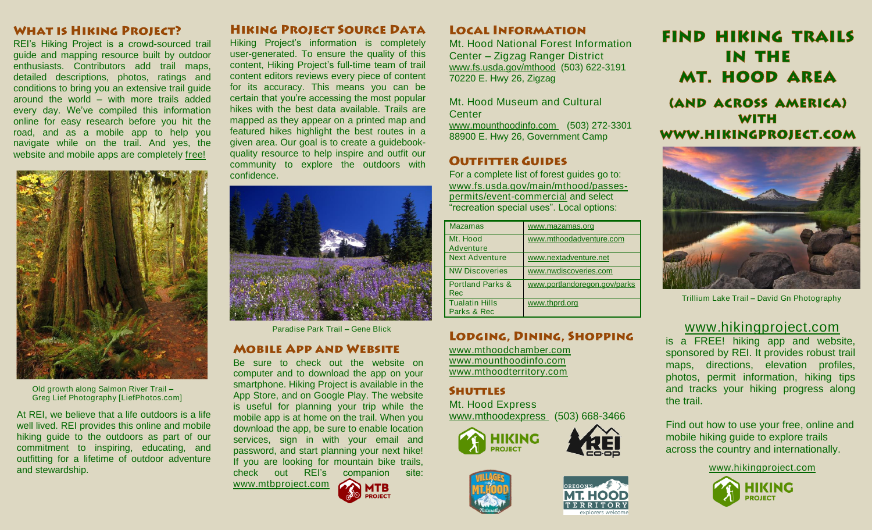### **WHAT IS HIKING PROJECT?**

REI's Hiking Project is a crowd-sourced trail guide and mapping resource built by outdoor enthusiasts. Contributors add trail maps, detailed descriptions, photos, ratings and conditions to bring you an extensive trail guide around the world – with more trails added every day. We've compiled this information online for easy research before you hit the road, and as a mobile app to help you navigate while on the trail. And yes, the website and mobile apps are completely free!



Old growth along Salmon River Trail – Greg Lief Photography [LiefPhotos.com]

At REI, we believe that a life outdoors is a life well lived. REI provides this online and mobile hiking guide to the outdoors as part of our commitment to inspiring, educating, and outfitting for a lifetime of outdoor adventure and stewardship.

### **HIKING PROJECT SOURCE DATA**

Hiking Project's information is completely user-generated. To ensure the quality of this content, Hiking Project's full-time team of trail content editors reviews every piece of content for its accuracy. This means you can be certain that you're accessing the most popular hikes with the best data available. Trails are mapped as they appear on a printed map and featured hikes highlight the best routes in a given area. Our goal is to create a guidebookquality resource to help inspire and outfit our community to explore the outdoors with confidence.



### **MOBILE APP AND WEBSITE**

Be sure to check out the website on computer and to download the app on your smartphone. Hiking Project is available in the App Store, and on Google Play. The website is useful for planning your trip while the mobile app is at home on the trail. When you download the app, be sure to enable location services, sign in with your email and password, and start planning your next hike! If you are looking for mountain bike trails, check out REI's companion site: [www.mtbproject.com](http://www.mtbproject.com/)



### **LOCAL INFORMATION**

Mt. Hood National Forest Information Center – Zigzag Ranger District [www.fs.usda.gov/mthood](http://www.fs.usda.gov/mthood) (503) 622-3191 70220 E. Hwy 26, Zigzag

Mt. Hood Museum and Cultural **Center** [www.mounthoodinfo.com](http://www.mounthoodinfo.com/) (503) 272-3301 88900 E. Hwy 26, Government Camp

## **OUTFITTER GUIDES**

For a complete list of forest guides go to: [www.fs.usda.gov/main/mthood/passes](http://www.fs.usda.gov/main/mthood/passes-permits/event-commercial)[permits/event-commercial](http://www.fs.usda.gov/main/mthood/passes-permits/event-commercial) and select "recreation special uses". Local options:

| <b>Mazamas</b>                            | www.mazamas.org              |
|-------------------------------------------|------------------------------|
| Mt. Hood                                  | www.mthoodadventure.com      |
| Adventure                                 |                              |
| <b>Next Adventure</b>                     | www.nextadventure.net        |
| <b>NW Discoveries</b>                     | www.nwdiscoveries.com        |
| <b>Portland Parks &amp;</b><br><b>Rec</b> | www.portlandoregon.gov/parks |
| <b>Tualatin Hills</b><br>Parks & Rec      | www.thprd.org                |

[www.mthoodchamber.com](http://www.mthoodchamber.com/) [www.mounthoodinfo.com](http://www.mounthoodinfo.com/) [www.mthoodterritory.com](http://www.mthoodterritory.com/)

### **SHUTTLES**

Mt. Hood Express [www.mthoodexpress](http://www.mthoodexpress/) (503) 668-3466







Trillium Lake Trail – David Gn Photography

**FIND HIKING TRAILS** 

**IN THE** 

**MT. HOOD AREA** 

(AND ACROSS AMERICA) **WITH** WWW.HIKINGPROJECT.COM

# Paradise Park Trail – Gene Blick **LODGING, DINING, SHOPPING** WWW.hikingproject.com

is a FREE! hiking app and website, sponsored by REI. It provides robust trail maps, directions, elevation profiles, photos, permit information, hiking tips and tracks your hiking progress along the trail.

Find out how to use your free, online and mobile hiking guide to explore trails across the country and internationally.

[www.hikingproject.com](http://www.hikingproject.com/)